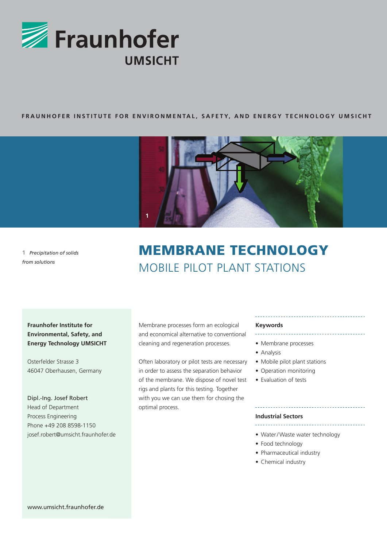

## **FRAUNHOFER INSTITUTE FOR ENVIRONMENTAL, SAFETY, AND ENERGY TECHNOLOGY UMSICHT**



**1** *Precipitation of solids from solutions*

# MEMBRANE TECHNOLOGY MOBILE PILOT PLANT STATIONS

**Fraunhofer Institute for Environmental, Safety, and Energy Technology UMSICHT**

Osterfelder Strasse 3 46047 Oberhausen, Germany

Dipl.-Ing. Josef Robert Head of Department Process Engineering Phone +49 208 8598-1150 josef.robert@umsicht.fraunhofer.de Membrane processes form an ecological and economical alternative to conventional cleaning and regeneration processes.

Often laboratory or pilot tests are necessary in order to assess the separation behavior of the membrane. We dispose of novel test rigs and plants for this testing. Together with you we can use them for chosing the optimal process.

#### **Keywords**

\_\_\_\_\_\_\_\_\_\_\_\_\_\_\_\_\_\_\_\_\_

- Membrane processes
- Analysis
- Mobile pilot plant stations
- Operation monitoring
- Evaluation of tests

### **Industrial Sectors**

- Water/Waste water technology
- Food technology
- Pharmaceutical industry
- Chemical industry